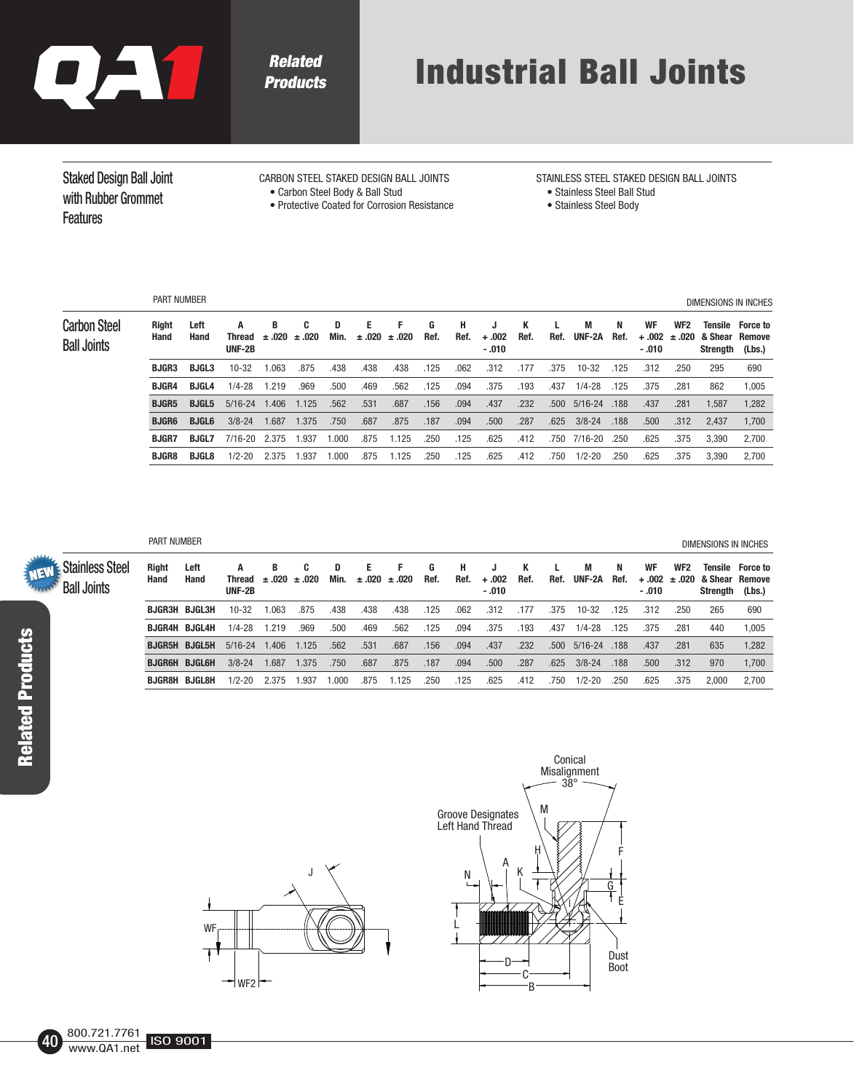

Related **Products** 

## Industrial Ball Joints

with Rubber Grommet **Features** 

CARBON STEEL STAKED DESIGN BALL JOINTS • Carbon Steel Body & Ball Stud

- Protective Coated for Corrosion Resistance
- STAINLESS STEEL STAKED DESIGN BALL JOINTS • Stainless Steel Ball Stud
	- Stainless Steel Body

PART NUMBER DIMENSIONS IN INCHES

Carbon Steel Ball Joints

| <b>Right</b><br>Hand | Left<br>Hand | A<br>Thread<br>UNF-2B | в<br>±.020 | C<br>±.020 | D<br>Min. | Е<br>±.020 ±.020 | Е     | G<br>Ref. | н<br>Ref. | J<br>$+.002$<br>$-.010$ | Κ<br>Ref. | Ref. | M<br>UNF-2A | N<br>Ref. | WF<br>$+.002$<br>$-.010$ | WF <sub>2</sub><br>±.020 | & Shear<br>Strength | Tensile Force to<br>Remove<br>(Lbs.) |
|----------------------|--------------|-----------------------|------------|------------|-----------|------------------|-------|-----------|-----------|-------------------------|-----------|------|-------------|-----------|--------------------------|--------------------------|---------------------|--------------------------------------|
| <b>BJGR3</b>         | <b>BJGL3</b> | $10 - 32$             | .063       | .875       | .438      | .438             | .438  | .125      | .062      | .312                    | .177      | .375 | $10 - 32$   | .125      | .312                     | .250                     | 295                 | 690                                  |
| <b>BJGR4</b>         | <b>BJGL4</b> | $1/4 - 28$            | .219       | .969       | .500      | .469             | .562  | .125      | .094      | .375                    | 193       | .437 | $1/4 - 28$  | .125      | .375                     | .281                     | 862                 | 1.005                                |
| <b>BJGR5</b>         | <b>BJGL5</b> | $5/16 - 24$           | .406       | 1.125      | .562      | .531             | .687  | .156      | .094      | .437                    | .232      | .500 | $5/16 - 24$ | .188      | .437                     | .281                     | 1.587               | 1.282                                |
| <b>BJGR6</b>         | <b>BJGL6</b> | $3/8 - 24$            | .687       | 1.375      | .750      | .687             | .875  | .187      | .094      | .500                    | .287      | .625 | $3/8 - 24$  | .188      | .500                     | .312                     | 2.437               | 1,700                                |
| <b>BJGR7</b>         | <b>BJGL7</b> | $7/16 - 20$           | 2.375      | .937       | 1.000     | .875             | 1.125 | .250      | .125      | .625                    | .412      | .750 | $7/16 - 20$ | .250      | .625                     | .375                     | 3.390               | 2.700                                |
| <b>BJGR8</b>         | <b>BJGL8</b> | $1/2 - 20$            | 2.375      | .937       | .000      | .875             | 1.125 | .250      | .125      | .625                    | .412      | .750 | $1/2 - 20$  | .250      | .625                     | .375                     | 3.390               | 2.700                                |

|                                              |               | <b>PART NUMBER</b><br>DIMENSIONS IN INCHES |                       |            |                  |           |             |            |           |           |                         |           |      |             |           |               |      |                                             |                                   |
|----------------------------------------------|---------------|--------------------------------------------|-----------------------|------------|------------------|-----------|-------------|------------|-----------|-----------|-------------------------|-----------|------|-------------|-----------|---------------|------|---------------------------------------------|-----------------------------------|
| <b>Stainless Steel</b><br><b>Ball Joints</b> | Right<br>Hand | Left<br>Hand                               | А<br>Thread<br>UNF-2B | B<br>±.020 | C.<br>$\pm .020$ | D<br>Min. | Е.<br>±.020 | F<br>±.020 | G<br>Ref. | н<br>Ref. | J<br>$+.002$<br>$-.010$ | К<br>Ref. | Ref. | M<br>UNF-2A | N<br>Ref. | WF<br>$-.010$ | WF2  | $+.002 \pm .020$ & Shear Remove<br>Strength | <b>Tensile</b> Force to<br>(Lbs.) |
|                                              |               | <b>BJGR3H BJGL3H</b>                       | 10-32                 | .063       | .875             | .438      | .438        | .438       | .125      | .062      | .312                    | .177      | .375 | $10 - 32$   | .125      | .312          | .250 | 265                                         | 690                               |
|                                              |               | <b>BJGR4H BJGL4H</b>                       | $1/4 - 28$            | .219       | .969             | .500      | .469        | .562       | .125      | .094      | .375                    | .193      | .437 | $1/4 - 28$  | .125      | .375          | .281 | 440                                         | 1,005                             |
|                                              |               | <b>BJGR5H BJGL5H</b>                       | $5/16 - 24$           | l.406      | 1.125            | .562      | .531        | .687       | .156      | .094      | .437                    | .232      | .500 | $5/16 - 24$ | .188      | .437          | .281 | 635                                         | 1,282                             |
|                                              |               | <b>BJGR6H BJGL6H</b>                       | $3/8 - 24$            | 1.687      | .375             | .750      | .687        | .875       | .187      | .094      | .500                    | .287      | .625 | $3/8 - 24$  | .188      | .500          | .312 | 970                                         | 1,700                             |
|                                              |               | <b>BJGR8H BJGL8H</b>                       | $1/2 - 20$            | 2.375      | .937             | 1.000     | .875        | .125       | .250      | .125      | .625                    | .412      | 750  | $1/2 - 20$  | .250      | .625          | .375 | 2.000                                       | 2.700                             |

**NEW**